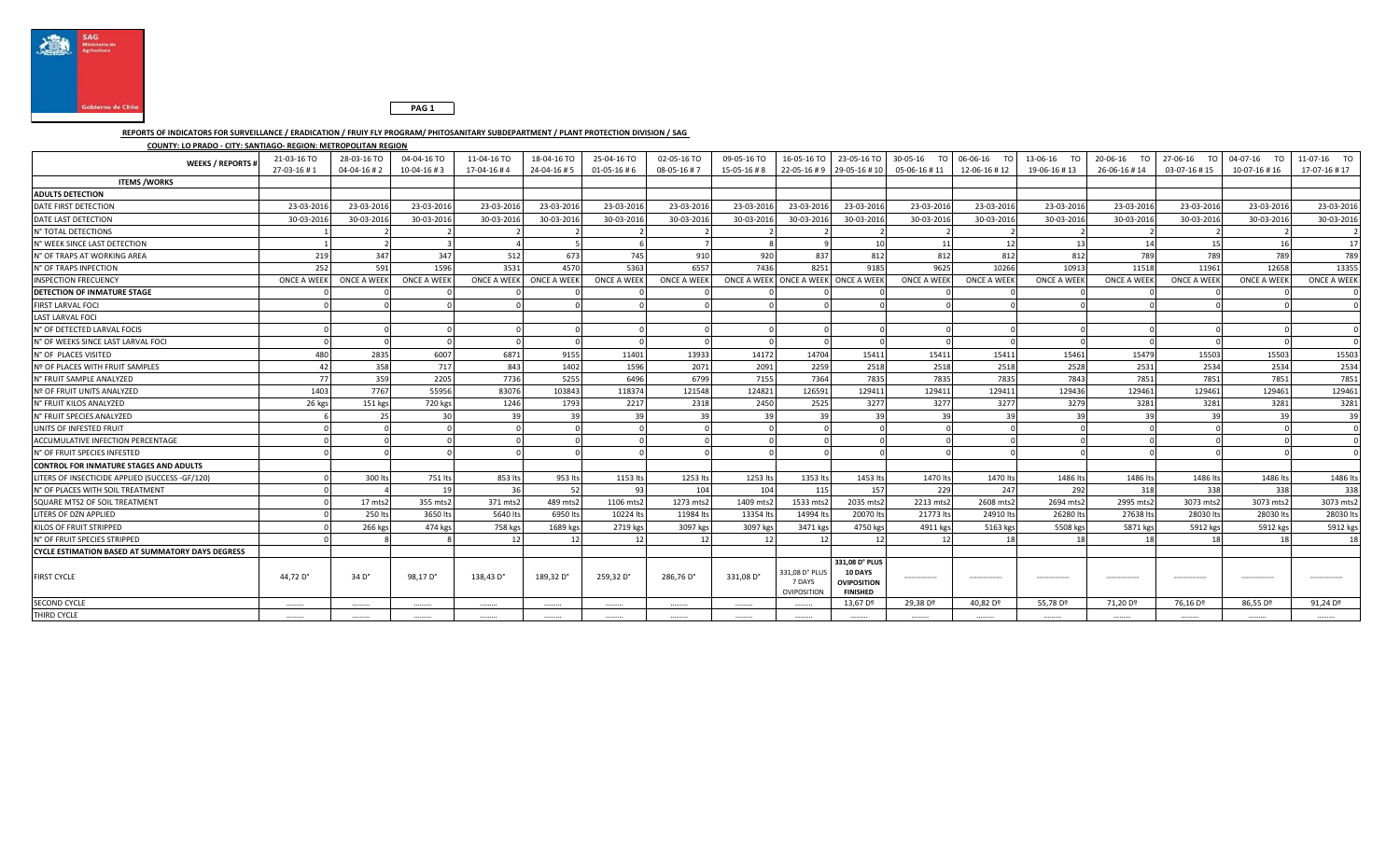



## **REPORTS OF INDICATORS FOR SURVEILLANCE / ERADICATION / FRUIY FLY PROGRAM/ PHITOSANITARY SUBDEPARTMENT / PLANT PROTECTION DIVISION / SAG**

**COUNTY: LO PRADO - CITY: SANTIAGO- REGION: METROPOLITAN REGION**

| <b>WEEKS / REPORTS #</b>                                | 21-03-16 TO<br>27-03-16#1 | 28-03-16 TO<br>$04 - 04 - 16 + 2$ | 04-04-16 TO<br>$10-04-16 \# 3$ | 11-04-16 TO<br>17-04-16#4 | 18-04-16 TO<br>24-04-16#5 | 25-04-16 TO<br>$01 - 05 - 16 + 6$ | 02-05-16 TO<br>08-05-16#7 | 09-05-16 TO<br>15-05-16 #8 |                                         | 22-05-16 # 9 29-05-16 # 10                                         | 05-06-16 #11         | 16-05-16 TO   23-05-16 TO   30-05-16 TO 06-06-16 TO<br>12-06-16 #12 | 13-06-16 TO<br>19-06-16 #13 | 20-06-16 TO<br>26-06-16 #14 | 27-06-16<br><b>TO</b><br>03-07-16 #15 | 04-07-16 TO<br>10-07-16 #16 | 11-07-16 TO<br>17-07-16 #17 |
|---------------------------------------------------------|---------------------------|-----------------------------------|--------------------------------|---------------------------|---------------------------|-----------------------------------|---------------------------|----------------------------|-----------------------------------------|--------------------------------------------------------------------|----------------------|---------------------------------------------------------------------|-----------------------------|-----------------------------|---------------------------------------|-----------------------------|-----------------------------|
| <b>ITEMS /WORKS</b>                                     |                           |                                   |                                |                           |                           |                                   |                           |                            |                                         |                                                                    |                      |                                                                     |                             |                             |                                       |                             |                             |
| <b>ADULTS DETECTION</b>                                 |                           |                                   |                                |                           |                           |                                   |                           |                            |                                         |                                                                    |                      |                                                                     |                             |                             |                                       |                             |                             |
| DATE FIRST DETECTION                                    | 23-03-201                 | 23-03-201                         | 23-03-2016                     | 23-03-2016                | 23-03-2016                | 23-03-201                         | 23-03-2016                | 23-03-2016                 | 23-03-2016                              | 23-03-2016                                                         | 23-03-2016           | 23-03-2016                                                          | 23-03-2016                  | 23-03-201                   | 23-03-2016                            | 23-03-2016                  | 23-03-2016                  |
| DATE LAST DETECTION                                     | 30-03-201                 | 30-03-201                         | 30-03-2016                     | 30-03-2016                | 30-03-2016                | 30-03-201                         | 30-03-2016                | 30-03-2016                 | 30-03-2016                              | 30-03-2016                                                         | 30-03-2016           | 30-03-2016                                                          | 30-03-2016                  | 30-03-2016                  | 30-03-2016                            | 30-03-2016                  | 30-03-2016                  |
| N° TOTAL DETECTIONS                                     |                           |                                   |                                |                           |                           |                                   |                           |                            |                                         |                                                                    |                      |                                                                     |                             |                             |                                       |                             |                             |
| N° WEEK SINCE LAST DETECTION                            |                           |                                   |                                |                           |                           |                                   |                           |                            |                                         | 10                                                                 | 11                   | 12                                                                  | 13                          | 14                          | 15                                    | 16                          | 17                          |
| N° OF TRAPS AT WORKING AREA                             | 219                       | 347                               | 347                            | 512                       | 673                       | 745                               | 910                       | 920                        | 837                                     | 812                                                                | 812                  | 812                                                                 | 812                         | 789                         | 789                                   | 789                         | 789                         |
| N° OF TRAPS INPECTION                                   | 252                       | 591                               | 1596                           | 3531                      | 4570                      | 5363                              | 6557                      | 7436                       | 8251                                    | 9185                                                               | 9625                 | 10266                                                               | 10913                       | 11518                       | 11961                                 | 12658                       | 13355                       |
| <b>INSPECTION FRECUENCY</b>                             | <b>ONCE A WEEK</b>        | ONCE A WEEK                       | <b>ONCE A WEEK</b>             |                           | ONCE A WEEK ONCE A WEEK   | <b>ONCE A WEEK</b>                | ONCE A WEEK               |                            |                                         | ONCE A WEEK ONCE A WEEK ONCE A WEEK                                | ONCE A WEEK          | <b>ONCE A WEEK</b>                                                  | ONCE A WEE                  | <b>ONCE A WEEK</b>          | <b>ONCE A WEEK</b>                    | ONCE A WEEK                 | <b>ONCE A WEEK</b>          |
| DETECTION OF INMATURE STAGE                             |                           |                                   |                                |                           |                           |                                   |                           |                            |                                         |                                                                    |                      |                                                                     |                             |                             |                                       |                             |                             |
| <b>FIRST LARVAL FOCI</b>                                |                           |                                   |                                |                           |                           |                                   |                           |                            |                                         |                                                                    |                      |                                                                     |                             |                             |                                       |                             |                             |
| <b>LAST LARVAL FOCI</b>                                 |                           |                                   |                                |                           |                           |                                   |                           |                            |                                         |                                                                    |                      |                                                                     |                             |                             |                                       |                             |                             |
| N° OF DETECTED LARVAL FOCIS                             |                           |                                   |                                |                           |                           |                                   |                           |                            |                                         |                                                                    |                      |                                                                     |                             |                             |                                       |                             |                             |
| N° OF WEEKS SINCE LAST LARVAL FOCI                      |                           |                                   |                                |                           |                           |                                   |                           |                            |                                         |                                                                    |                      |                                                                     |                             |                             |                                       |                             |                             |
| N° OF PLACES VISITED                                    | 480                       | 2835                              | 6007                           | 6871                      | 9155                      | 11401                             | 13933                     | 14172                      | 14704                                   | 15411                                                              | 15411                | 15411                                                               | 15461                       | 15479                       | 15503                                 | 15503                       | 15503                       |
| Nº OF PLACES WITH FRUIT SAMPLES                         | 42                        | 358                               | 717                            | 843                       | 1402                      | 1596                              | 2071                      | 2091                       | 2259                                    | 2518                                                               | 2518                 | 2518                                                                | 2528                        | 2531                        | 2534                                  | 2534                        | 2534                        |
| N° FRUIT SAMPLE ANALYZED                                | 77                        | 359                               | 2205                           | 7736                      | 5255                      | 6496                              | 6799                      | 7155                       | 7364                                    | 7835                                                               | 7835                 | 7835                                                                | 7843                        | 7851                        | 7851                                  | 7851                        | 7851                        |
| Nº OF FRUIT UNITS ANALYZED                              | 1403                      | 7767                              | 55956                          | 83076                     | 103843                    | 118374                            | 121548                    | 124821                     | 126591                                  | 12941                                                              | 129411               | 129411                                                              | 129436                      | 129461                      | 129461                                | 129461                      | 129461                      |
| N° FRUIT KILOS ANALYZED                                 | 26 kgs                    | 151 kgs                           | 720 kgs                        | 1246                      | 1793                      | 2217                              | 2318                      | 2450                       | 2525                                    | 3277                                                               | 3277                 | 3277                                                                | 3279                        | 3281                        | 3281                                  | 3281                        | 3281                        |
| N° FRUIT SPECIES ANALYZED                               |                           |                                   |                                |                           | 39                        | 39                                |                           |                            | 39                                      |                                                                    | зc                   | 3d                                                                  |                             |                             |                                       | 39                          | 39                          |
| UNITS OF INFESTED FRUIT                                 |                           |                                   |                                |                           |                           |                                   |                           |                            |                                         |                                                                    |                      |                                                                     |                             |                             |                                       |                             |                             |
| ACCUMULATIVE INFECTION PERCENTAGE                       |                           |                                   |                                |                           |                           |                                   |                           |                            |                                         |                                                                    |                      |                                                                     |                             |                             |                                       |                             |                             |
| N° OF FRUIT SPECIES INFESTED                            |                           |                                   |                                |                           |                           |                                   |                           |                            |                                         |                                                                    |                      |                                                                     |                             |                             |                                       |                             |                             |
| <b>CONTROL FOR INMATURE STAGES AND ADULTS</b>           |                           |                                   |                                |                           |                           |                                   |                           |                            |                                         |                                                                    |                      |                                                                     |                             |                             |                                       |                             |                             |
| LITERS OF INSECTICIDE APPLIED (SUCCESS -GF/120)         |                           | 300 lts                           | 751 lts                        | 853 lts                   | 953 lts                   | 1153 lts                          | 1253 lts                  | 1253 lts                   | 1353 lts                                | 1453 lts                                                           | 1470 lts             | 1470 lts                                                            | 1486 lt:                    | 1486 lts                    | 1486 lts                              | 1486 lts                    | 1486 lts                    |
| N° OF PLACES WITH SOIL TREATMENT                        |                           |                                   | 19                             | 36                        | 52                        | 93                                | 104                       | 104                        | 115                                     | 157                                                                | 229                  | 247                                                                 | 292                         | 318                         | 338                                   | 338                         | 338                         |
| SQUARE MTS2 OF SOIL TREATMENT                           |                           | 17 mts2                           | 355 mts2                       | 371 mts2                  | 489 mts2                  | 1106 mts2                         | 1273 mts2                 | 1409 mts2                  | 1533 mts2                               | 2035 mts.                                                          | 2213 mts2            | 2608 mts2                                                           | 2694 mts2                   | 2995 mts2                   | 3073 mts2                             | 3073 mts2                   | 3073 mts2                   |
| LITERS OF DZN APPLIED                                   |                           | 250 lt                            | 3650 lts                       | 5640 lts                  | 6950 lts                  | 10224 lt                          | 11984 lt                  | 13354 lt                   | 14994 lt:                               | 20070 lt                                                           | 21773 lt:            | 24910 lts                                                           | 26280 lt                    | 27638 lt                    | 28030 lt                              | 28030 lt                    | 28030 lts                   |
| KILOS OF FRUIT STRIPPED                                 |                           | 266 kgs                           | 474 kgs                        | 758 kgs                   | 1689 kgs                  | 2719 kgs                          | 3097 kgs                  | 3097 kgs                   | 3471 kgs                                | 4750 kg                                                            | 4911 kgs             | 5163 kgs                                                            | 5508 kg                     | 5871 kgs                    | 5912 kg                               | 5912 kgs                    | 5912 kgs                    |
| N° OF FRUIT SPECIES STRIPPED                            |                           |                                   |                                | 12                        | 12                        | 12                                | 12                        | 12                         | 12                                      | -12                                                                | 12                   | 18                                                                  |                             | 18                          | 15                                    | 18                          | 18                          |
| <b>CYCLE ESTIMATION BASED AT SUMMATORY DAYS DEGRESS</b> |                           |                                   |                                |                           |                           |                                   |                           |                            |                                         |                                                                    |                      |                                                                     |                             |                             |                                       |                             |                             |
| <b>FIRST CYCLE</b>                                      | 44,72 D°                  | 34 D°                             | 98,17 D°                       | 138,43 D°                 | 189,32 D°                 | 259,32 D°                         | 286,76 D°                 | 331,08 D°                  | 331,08 D° PLUS<br>7 DAYS<br>OVIPOSITION | 331,08 D° PLUS<br><b>10 DAYS</b><br>OVIPOSITION<br><b>FINISHED</b> | --------------       |                                                                     |                             |                             |                                       |                             |                             |
| <b>SECOND CYCLE</b>                                     |                           |                                   |                                |                           |                           |                                   |                           |                            |                                         | 13,67 D <sup>o</sup>                                               | 29,38 D <sup>o</sup> | 40,82 D <sup>o</sup>                                                | 55,78 Dº                    | 71,20 D <sup>o</sup>        | 76,16 Dº                              | 86,55 D <sup>o</sup>        | 91,24 D <sup>o</sup>        |
| THIRD CYCLE                                             |                           |                                   |                                |                           |                           |                                   |                           |                            |                                         |                                                                    | .                    |                                                                     |                             |                             |                                       |                             |                             |